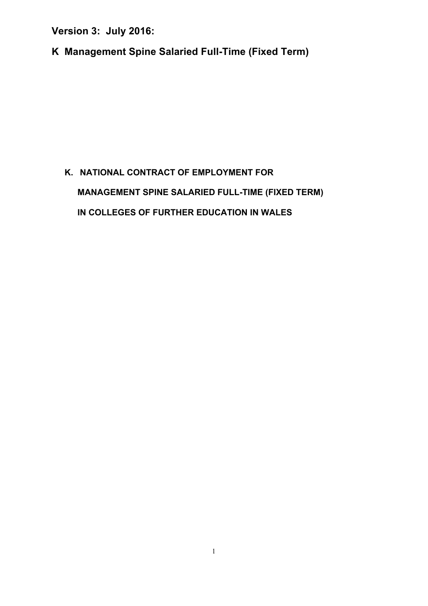**K Management Spine Salaried Full-Time (Fixed Term)**

# **K. NATIONAL CONTRACT OF EMPLOYMENT FOR MANAGEMENT SPINE SALARIED FULL-TIME (FIXED TERM) IN COLLEGES OF FURTHER EDUCATION IN WALES**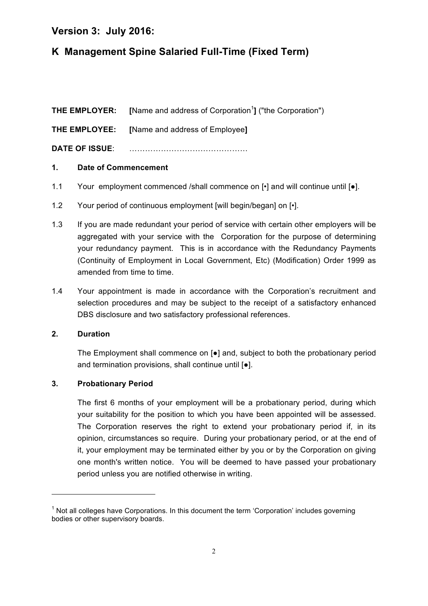# **K Management Spine Salaried Full-Time (Fixed Term)**

**THE EMPLOYER:** [Name and address of Corporation<sup>1</sup>] ("the Corporation")

**THE EMPLOYEE: [**Name and address of Employee**]**

**DATE OF ISSUE**: ………………………………………

#### **1. Date of Commencement**

- 1.1 Your employment commenced /shall commence on  $\lceil \cdot \rceil$  and will continue until  $\lceil \bullet \rceil$ .
- 1.2 Your period of continuous employment [will begin/began] on [ $\cdot$ ].
- 1.3 If you are made redundant your period of service with certain other employers will be aggregated with your service with the Corporation for the purpose of determining your redundancy payment. This is in accordance with the Redundancy Payments (Continuity of Employment in Local Government, Etc) (Modification) Order 1999 as amended from time to time.
- 1.4 Your appointment is made in accordance with the Corporation's recruitment and selection procedures and may be subject to the receipt of a satisfactory enhanced DBS disclosure and two satisfactory professional references.

#### **2. Duration**

The Employment shall commence on [●] and, subject to both the probationary period and termination provisions, shall continue until [●].

#### **3. Probationary Period**

<u> 1989 - Jan Samuel Barbara, margaret e</u>

The first 6 months of your employment will be a probationary period, during which your suitability for the position to which you have been appointed will be assessed. The Corporation reserves the right to extend your probationary period if, in its opinion, circumstances so require. During your probationary period, or at the end of it, your employment may be terminated either by you or by the Corporation on giving one month's written notice. You will be deemed to have passed your probationary period unless you are notified otherwise in writing.

 $1$  Not all colleges have Corporations. In this document the term 'Corporation' includes governing bodies or other supervisory boards.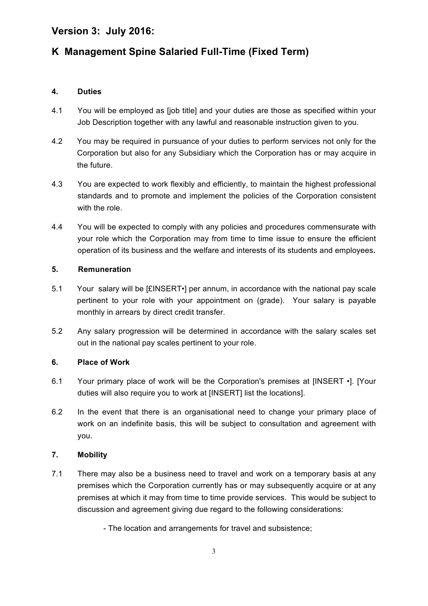# **K Management Spine Salaried Full-Time (Fixed Term)**

#### **4. Duties**

- 4.1 You will be employed as [job title] and your duties are those as specified within your Job Description together with any lawful and reasonable instruction given to you.
- 4.2 You may be required in pursuance of your duties to perform services not only for the Corporation but also for any Subsidiary which the Corporation has or may acquire in the future.
- 4.3 You are expected to work flexibly and efficiently, to maintain the highest professional standards and to promote and implement the policies of the Corporation consistent with the role.
- 4.4 You will be expected to comply with any policies and procedures commensurate with your role which the Corporation may from time to time issue to ensure the efficient operation of its business and the welfare and interests of its students and employees**.**

#### **5. Remuneration**

- 5.1 Your salary will be [£INSERT•] per annum, in accordance with the national pay scale pertinent to your role with your appointment on (grade). Your salary is payable monthly in arrears by direct credit transfer.
- 5.2 Any salary progression will be determined in accordance with the salary scales set out in the national pay scales pertinent to your role.

#### **6. Place of Work**

- 6.1 Your primary place of work will be the Corporation's premises at [INSERT •]. [Your duties will also require you to work at [INSERT] list the locations].
- 6.2 In the event that there is an organisational need to change your primary place of work on an indefinite basis, this will be subject to consultation and agreement with you.

#### **7. Mobility**

- 7.1 There may also be a business need to travel and work on a temporary basis at any premises which the Corporation currently has or may subsequently acquire or at any premises at which it may from time to time provide services. This would be subject to discussion and agreement giving due regard to the following considerations:
	- The location and arrangements for travel and subsistence;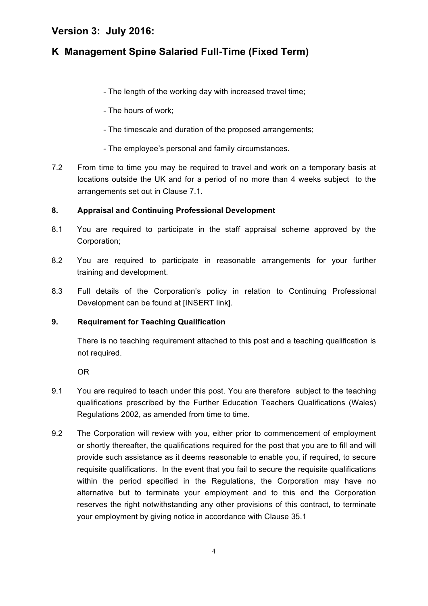# **K Management Spine Salaried Full-Time (Fixed Term)**

- The length of the working day with increased travel time;
- The hours of work;
- The timescale and duration of the proposed arrangements;
- The employee's personal and family circumstances.
- 7.2 From time to time you may be required to travel and work on a temporary basis at locations outside the UK and for a period of no more than 4 weeks subject to the arrangements set out in Clause 7.1.

#### **8. Appraisal and Continuing Professional Development**

- 8.1 You are required to participate in the staff appraisal scheme approved by the Corporation;
- 8.2 You are required to participate in reasonable arrangements for your further training and development.
- 8.3 Full details of the Corporation's policy in relation to Continuing Professional Development can be found at [INSERT link].

#### **9. Requirement for Teaching Qualification**

There is no teaching requirement attached to this post and a teaching qualification is not required.

OR

- 9.1 You are required to teach under this post. You are therefore subject to the teaching qualifications prescribed by the Further Education Teachers Qualifications (Wales) Regulations 2002, as amended from time to time.
- 9.2 The Corporation will review with you, either prior to commencement of employment or shortly thereafter, the qualifications required for the post that you are to fill and will provide such assistance as it deems reasonable to enable you, if required, to secure requisite qualifications. In the event that you fail to secure the requisite qualifications within the period specified in the Regulations, the Corporation may have no alternative but to terminate your employment and to this end the Corporation reserves the right notwithstanding any other provisions of this contract, to terminate your employment by giving notice in accordance with Clause 35.1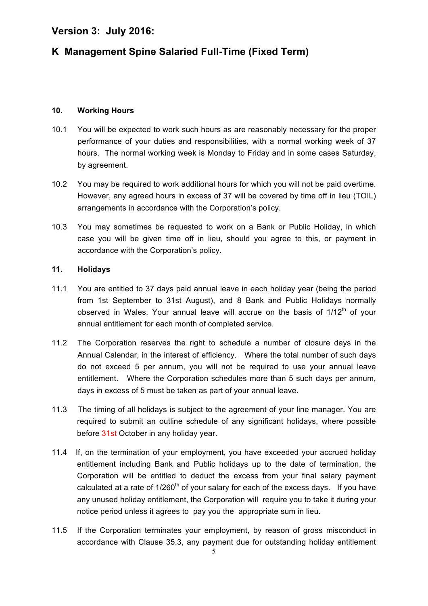# **K Management Spine Salaried Full-Time (Fixed Term)**

#### **10. Working Hours**

- 10.1 You will be expected to work such hours as are reasonably necessary for the proper performance of your duties and responsibilities, with a normal working week of 37 hours. The normal working week is Monday to Friday and in some cases Saturday, by agreement.
- 10.2 You may be required to work additional hours for which you will not be paid overtime. However, any agreed hours in excess of 37 will be covered by time off in lieu (TOIL) arrangements in accordance with the Corporation's policy.
- 10.3 You may sometimes be requested to work on a Bank or Public Holiday, in which case you will be given time off in lieu, should you agree to this, or payment in accordance with the Corporation's policy.

#### **11. Holidays**

- 11.1 You are entitled to 37 days paid annual leave in each holiday year (being the period from 1st September to 31st August), and 8 Bank and Public Holidays normally observed in Wales. Your annual leave will accrue on the basis of  $1/12<sup>th</sup>$  of your annual entitlement for each month of completed service.
- 11.2 The Corporation reserves the right to schedule a number of closure days in the Annual Calendar, in the interest of efficiency. Where the total number of such days do not exceed 5 per annum, you will not be required to use your annual leave entitlement. Where the Corporation schedules more than 5 such days per annum, days in excess of 5 must be taken as part of your annual leave.
- 11.3 The timing of all holidays is subject to the agreement of your line manager. You are required to submit an outline schedule of any significant holidays, where possible before 31st October in any holiday year.
- 11.4 If, on the termination of your employment, you have exceeded your accrued holiday entitlement including Bank and Public holidays up to the date of termination, the Corporation will be entitled to deduct the excess from your final salary payment calculated at a rate of  $1/260<sup>th</sup>$  of your salary for each of the excess days. If you have any unused holiday entitlement, the Corporation will require you to take it during your notice period unless it agrees to pay you the appropriate sum in lieu.
- 11.5 If the Corporation terminates your employment, by reason of gross misconduct in accordance with Clause 35.3, any payment due for outstanding holiday entitlement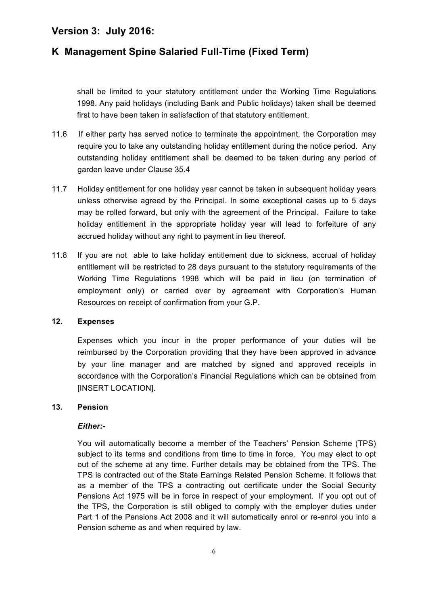# **K Management Spine Salaried Full-Time (Fixed Term)**

shall be limited to your statutory entitlement under the Working Time Regulations 1998. Any paid holidays (including Bank and Public holidays) taken shall be deemed first to have been taken in satisfaction of that statutory entitlement.

- 11.6 If either party has served notice to terminate the appointment, the Corporation may require you to take any outstanding holiday entitlement during the notice period. Any outstanding holiday entitlement shall be deemed to be taken during any period of garden leave under Clause 35.4
- 11.7 Holiday entitlement for one holiday year cannot be taken in subsequent holiday years unless otherwise agreed by the Principal. In some exceptional cases up to 5 days may be rolled forward, but only with the agreement of the Principal. Failure to take holiday entitlement in the appropriate holiday year will lead to forfeiture of any accrued holiday without any right to payment in lieu thereof*.*
- 11.8 If you are not able to take holiday entitlement due to sickness, accrual of holiday entitlement will be restricted to 28 days pursuant to the statutory requirements of the Working Time Regulations 1998 which will be paid in lieu (on termination of employment only) or carried over by agreement with Corporation's Human Resources on receipt of confirmation from your G.P.

#### **12. Expenses**

Expenses which you incur in the proper performance of your duties will be reimbursed by the Corporation providing that they have been approved in advance by your line manager and are matched by signed and approved receipts in accordance with the Corporation's Financial Regulations which can be obtained from [INSERT LOCATION].

#### **13. Pension**

#### *Either:-*

You will automatically become a member of the Teachers' Pension Scheme (TPS) subject to its terms and conditions from time to time in force. You may elect to opt out of the scheme at any time. Further details may be obtained from the TPS. The TPS is contracted out of the State Earnings Related Pension Scheme. It follows that as a member of the TPS a contracting out certificate under the Social Security Pensions Act 1975 will be in force in respect of your employment. If you opt out of the TPS, the Corporation is still obliged to comply with the employer duties under Part 1 of the Pensions Act 2008 and it will automatically enrol or re-enrol you into a Pension scheme as and when required by law.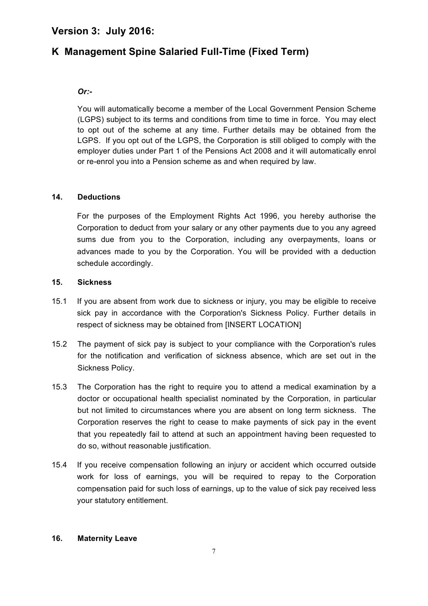# **K Management Spine Salaried Full-Time (Fixed Term)**

#### *Or:-*

You will automatically become a member of the Local Government Pension Scheme (LGPS) subject to its terms and conditions from time to time in force. You may elect to opt out of the scheme at any time. Further details may be obtained from the LGPS. If you opt out of the LGPS, the Corporation is still obliged to comply with the employer duties under Part 1 of the Pensions Act 2008 and it will automatically enrol or re-enrol you into a Pension scheme as and when required by law.

#### **14. Deductions**

For the purposes of the Employment Rights Act 1996, you hereby authorise the Corporation to deduct from your salary or any other payments due to you any agreed sums due from you to the Corporation, including any overpayments, loans or advances made to you by the Corporation. You will be provided with a deduction schedule accordingly.

#### **15. Sickness**

- 15.1 If you are absent from work due to sickness or injury, you may be eligible to receive sick pay in accordance with the Corporation's Sickness Policy. Further details in respect of sickness may be obtained from [INSERT LOCATION]
- 15.2 The payment of sick pay is subject to your compliance with the Corporation's rules for the notification and verification of sickness absence, which are set out in the Sickness Policy.
- 15.3 The Corporation has the right to require you to attend a medical examination by a doctor or occupational health specialist nominated by the Corporation, in particular but not limited to circumstances where you are absent on long term sickness. The Corporation reserves the right to cease to make payments of sick pay in the event that you repeatedly fail to attend at such an appointment having been requested to do so, without reasonable justification.
- 15.4 If you receive compensation following an injury or accident which occurred outside work for loss of earnings, you will be required to repay to the Corporation compensation paid for such loss of earnings, up to the value of sick pay received less your statutory entitlement.

#### **16. Maternity Leave**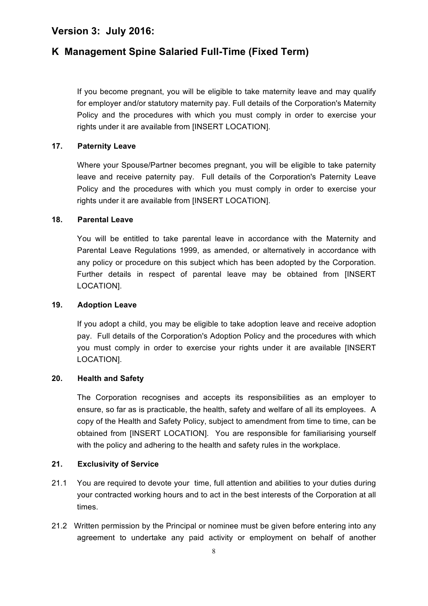# **K Management Spine Salaried Full-Time (Fixed Term)**

If you become pregnant, you will be eligible to take maternity leave and may qualify for employer and/or statutory maternity pay. Full details of the Corporation's Maternity Policy and the procedures with which you must comply in order to exercise your rights under it are available from [INSERT LOCATION].

#### **17. Paternity Leave**

Where your Spouse/Partner becomes pregnant, you will be eligible to take paternity leave and receive paternity pay. Full details of the Corporation's Paternity Leave Policy and the procedures with which you must comply in order to exercise your rights under it are available from [INSERT LOCATION].

#### **18. Parental Leave**

You will be entitled to take parental leave in accordance with the Maternity and Parental Leave Regulations 1999, as amended, or alternatively in accordance with any policy or procedure on this subject which has been adopted by the Corporation. Further details in respect of parental leave may be obtained from [INSERT LOCATION].

#### **19. Adoption Leave**

If you adopt a child, you may be eligible to take adoption leave and receive adoption pay. Full details of the Corporation's Adoption Policy and the procedures with which you must comply in order to exercise your rights under it are available [INSERT LOCATION].

#### **20. Health and Safety**

The Corporation recognises and accepts its responsibilities as an employer to ensure, so far as is practicable, the health, safety and welfare of all its employees. A copy of the Health and Safety Policy, subject to amendment from time to time, can be obtained from [INSERT LOCATION]. You are responsible for familiarising yourself with the policy and adhering to the health and safety rules in the workplace.

#### **21. Exclusivity of Service**

- 21.1 You are required to devote your time, full attention and abilities to your duties during your contracted working hours and to act in the best interests of the Corporation at all times.
- 21.2 Written permission by the Principal or nominee must be given before entering into any agreement to undertake any paid activity or employment on behalf of another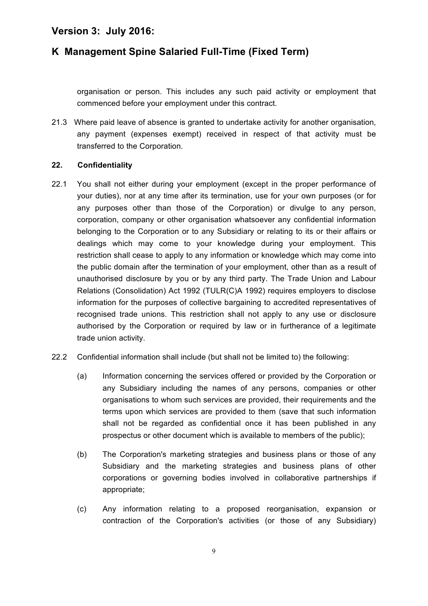# **K Management Spine Salaried Full-Time (Fixed Term)**

organisation or person. This includes any such paid activity or employment that commenced before your employment under this contract.

21.3 Where paid leave of absence is granted to undertake activity for another organisation, any payment (expenses exempt) received in respect of that activity must be transferred to the Corporation.

#### **22. Confidentiality**

- 22.1 You shall not either during your employment (except in the proper performance of your duties), nor at any time after its termination, use for your own purposes (or for any purposes other than those of the Corporation) or divulge to any person, corporation, company or other organisation whatsoever any confidential information belonging to the Corporation or to any Subsidiary or relating to its or their affairs or dealings which may come to your knowledge during your employment. This restriction shall cease to apply to any information or knowledge which may come into the public domain after the termination of your employment, other than as a result of unauthorised disclosure by you or by any third party. The Trade Union and Labour Relations (Consolidation) Act 1992 (TULR(C)A 1992) requires employers to disclose information for the purposes of collective bargaining to accredited representatives of recognised trade unions. This restriction shall not apply to any use or disclosure authorised by the Corporation or required by law or in furtherance of a legitimate trade union activity.
- 22.2 Confidential information shall include (but shall not be limited to) the following:
	- (a) Information concerning the services offered or provided by the Corporation or any Subsidiary including the names of any persons, companies or other organisations to whom such services are provided, their requirements and the terms upon which services are provided to them (save that such information shall not be regarded as confidential once it has been published in any prospectus or other document which is available to members of the public);
	- (b) The Corporation's marketing strategies and business plans or those of any Subsidiary and the marketing strategies and business plans of other corporations or governing bodies involved in collaborative partnerships if appropriate;
	- (c) Any information relating to a proposed reorganisation, expansion or contraction of the Corporation's activities (or those of any Subsidiary)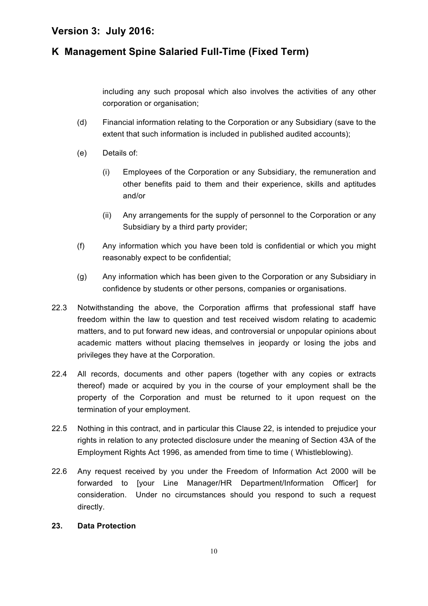# **K Management Spine Salaried Full-Time (Fixed Term)**

including any such proposal which also involves the activities of any other corporation or organisation;

- (d) Financial information relating to the Corporation or any Subsidiary (save to the extent that such information is included in published audited accounts);
- (e) Details of:
	- (i) Employees of the Corporation or any Subsidiary, the remuneration and other benefits paid to them and their experience, skills and aptitudes and/or
	- (ii) Any arrangements for the supply of personnel to the Corporation or any Subsidiary by a third party provider;
- (f) Any information which you have been told is confidential or which you might reasonably expect to be confidential;
- (g) Any information which has been given to the Corporation or any Subsidiary in confidence by students or other persons, companies or organisations.
- 22.3 Notwithstanding the above, the Corporation affirms that professional staff have freedom within the law to question and test received wisdom relating to academic matters, and to put forward new ideas, and controversial or unpopular opinions about academic matters without placing themselves in jeopardy or losing the jobs and privileges they have at the Corporation.
- 22.4 All records, documents and other papers (together with any copies or extracts thereof) made or acquired by you in the course of your employment shall be the property of the Corporation and must be returned to it upon request on the termination of your employment.
- 22.5 Nothing in this contract, and in particular this Clause 22, is intended to prejudice your rights in relation to any protected disclosure under the meaning of Section 43A of the Employment Rights Act 1996, as amended from time to time ( Whistleblowing).
- 22.6 Any request received by you under the Freedom of Information Act 2000 will be forwarded to [your Line Manager/HR Department/Information Officer] for consideration. Under no circumstances should you respond to such a request directly.

#### **23. Data Protection**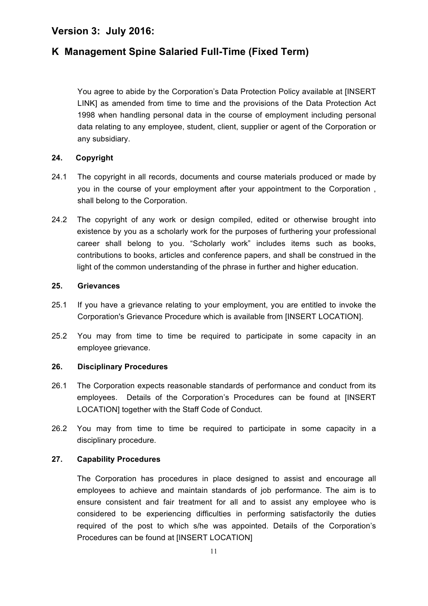# **K Management Spine Salaried Full-Time (Fixed Term)**

You agree to abide by the Corporation's Data Protection Policy available at [INSERT LINK] as amended from time to time and the provisions of the Data Protection Act 1998 when handling personal data in the course of employment including personal data relating to any employee, student, client, supplier or agent of the Corporation or any subsidiary.

#### **24. Copyright**

- 24.1 The copyright in all records, documents and course materials produced or made by you in the course of your employment after your appointment to the Corporation , shall belong to the Corporation.
- 24.2 The copyright of any work or design compiled, edited or otherwise brought into existence by you as a scholarly work for the purposes of furthering your professional career shall belong to you. "Scholarly work" includes items such as books, contributions to books, articles and conference papers, and shall be construed in the light of the common understanding of the phrase in further and higher education.

#### **25. Grievances**

- 25.1 If you have a grievance relating to your employment, you are entitled to invoke the Corporation's Grievance Procedure which is available from [INSERT LOCATION].
- 25.2 You may from time to time be required to participate in some capacity in an employee grievance.

#### **26. Disciplinary Procedures**

- 26.1 The Corporation expects reasonable standards of performance and conduct from its employees. Details of the Corporation's Procedures can be found at [INSERT LOCATION] together with the Staff Code of Conduct.
- 26.2 You may from time to time be required to participate in some capacity in a disciplinary procedure.

#### **27. Capability Procedures**

The Corporation has procedures in place designed to assist and encourage all employees to achieve and maintain standards of job performance. The aim is to ensure consistent and fair treatment for all and to assist any employee who is considered to be experiencing difficulties in performing satisfactorily the duties required of the post to which s/he was appointed. Details of the Corporation's Procedures can be found at [INSERT LOCATION]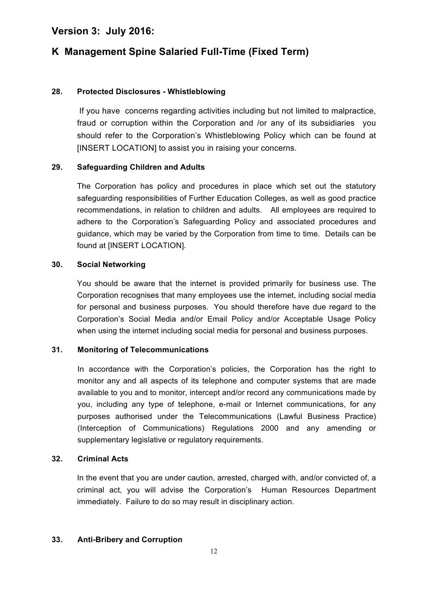# **K Management Spine Salaried Full-Time (Fixed Term)**

#### **28. Protected Disclosures - Whistleblowing**

If you have concerns regarding activities including but not limited to malpractice, fraud or corruption within the Corporation and /or any of its subsidiaries you should refer to the Corporation's Whistleblowing Policy which can be found at [INSERT LOCATION] to assist you in raising your concerns.

#### **29. Safeguarding Children and Adults**

The Corporation has policy and procedures in place which set out the statutory safeguarding responsibilities of Further Education Colleges, as well as good practice recommendations, in relation to children and adults. All employees are required to adhere to the Corporation's Safeguarding Policy and associated procedures and guidance, which may be varied by the Corporation from time to time. Details can be found at [INSERT LOCATION].

#### **30. Social Networking**

You should be aware that the internet is provided primarily for business use. The Corporation recognises that many employees use the internet, including social media for personal and business purposes. You should therefore have due regard to the Corporation's Social Media and/or Email Policy and/or Acceptable Usage Policy when using the internet including social media for personal and business purposes.

#### **31. Monitoring of Telecommunications**

In accordance with the Corporation's policies, the Corporation has the right to monitor any and all aspects of its telephone and computer systems that are made available to you and to monitor, intercept and/or record any communications made by you, including any type of telephone, e-mail or Internet communications, for any purposes authorised under the Telecommunications (Lawful Business Practice) (Interception of Communications) Regulations 2000 and any amending or supplementary legislative or regulatory requirements.

#### **32. Criminal Acts**

In the event that you are under caution, arrested, charged with, and/or convicted of, a criminal act, you will advise the Corporation's Human Resources Department immediately. Failure to do so may result in disciplinary action.

#### **33. Anti-Bribery and Corruption**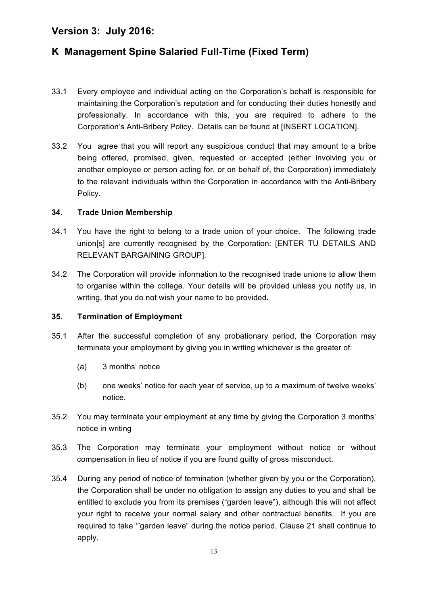# **K Management Spine Salaried Full-Time (Fixed Term)**

- 33.1 Every employee and individual acting on the Corporation's behalf is responsible for maintaining the Corporation's reputation and for conducting their duties honestly and professionally. In accordance with this, you are required to adhere to the Corporation's Anti-Bribery Policy. Details can be found at [INSERT LOCATION].
- 33.2 You agree that you will report any suspicious conduct that may amount to a bribe being offered, promised, given, requested or accepted (either involving you or another employee or person acting for, or on behalf of, the Corporation) immediately to the relevant individuals within the Corporation in accordance with the Anti-Bribery Policy.

#### **34. Trade Union Membership**

- 34.1 You have the right to belong to a trade union of your choice. The following trade union[s] are currently recognised by the Corporation: [ENTER TU DETAILS AND RELEVANT BARGAINING GROUP].
- 34.2 The Corporation will provide information to the recognised trade unions to allow them to organise within the college. Your details will be provided unless you notify us, in writing, that you do not wish your name to be provided**.**

#### **35. Termination of Employment**

- 35.1 After the successful completion of any probationary period, the Corporation may terminate your employment by giving you in writing whichever is the greater of:
	- (a) 3 months' notice
	- (b) one weeks' notice for each year of service, up to a maximum of twelve weeks' notice.
- 35.2 You may terminate your employment at any time by giving the Corporation 3 months' notice in writing
- 35.3 The Corporation may terminate your employment without notice or without compensation in lieu of notice if you are found guilty of gross misconduct.
- 35.4 During any period of notice of termination (whether given by you or the Corporation), the Corporation shall be under no obligation to assign any duties to you and shall be entitled to exclude you from its premises ("garden leave"), although this will not affect your right to receive your normal salary and other contractual benefits. If you are required to take '"garden leave" during the notice period, Clause 21 shall continue to apply.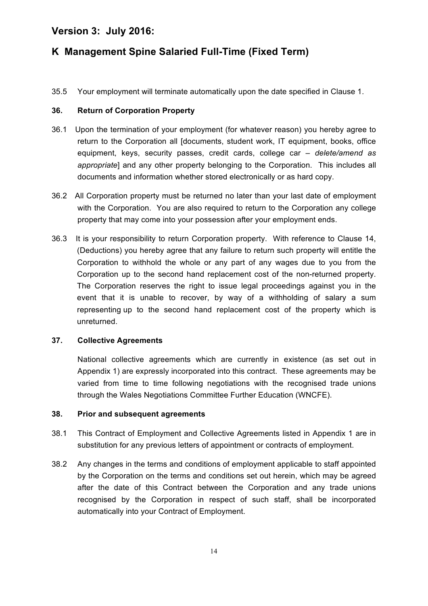# **K Management Spine Salaried Full-Time (Fixed Term)**

35.5 Your employment will terminate automatically upon the date specified in Clause 1.

#### **36. Return of Corporation Property**

- 36.1 Upon the termination of your employment (for whatever reason) you hereby agree to return to the Corporation all [documents, student work, IT equipment, books, office equipment, keys, security passes, credit cards, college car *– delete/amend as appropriate*] and any other property belonging to the Corporation. This includes all documents and information whether stored electronically or as hard copy.
- 36.2 All Corporation property must be returned no later than your last date of employment with the Corporation. You are also required to return to the Corporation any college property that may come into your possession after your employment ends.
- 36.3 It is your responsibility to return Corporation property. With reference to Clause 14, (Deductions) you hereby agree that any failure to return such property will entitle the Corporation to withhold the whole or any part of any wages due to you from the Corporation up to the second hand replacement cost of the non-returned property. The Corporation reserves the right to issue legal proceedings against you in the event that it is unable to recover, by way of a withholding of salary a sum representing up to the second hand replacement cost of the property which is unreturned.

#### **37. Collective Agreements**

National collective agreements which are currently in existence (as set out in Appendix 1) are expressly incorporated into this contract. These agreements may be varied from time to time following negotiations with the recognised trade unions through the Wales Negotiations Committee Further Education (WNCFE).

#### **38. Prior and subsequent agreements**

- 38.1 This Contract of Employment and Collective Agreements listed in Appendix 1 are in substitution for any previous letters of appointment or contracts of employment.
- 38.2 Any changes in the terms and conditions of employment applicable to staff appointed by the Corporation on the terms and conditions set out herein, which may be agreed after the date of this Contract between the Corporation and any trade unions recognised by the Corporation in respect of such staff, shall be incorporated automatically into your Contract of Employment.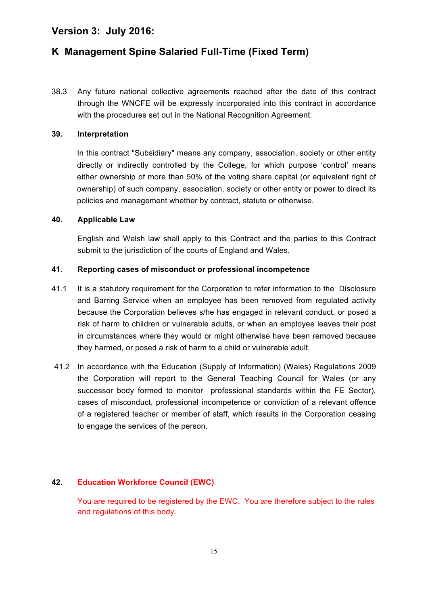# **K Management Spine Salaried Full-Time (Fixed Term)**

38.3 Any future national collective agreements reached after the date of this contract through the WNCFE will be expressly incorporated into this contract in accordance with the procedures set out in the National Recognition Agreement.

#### **39. Interpretation**

In this contract "Subsidiary" means any company, association, society or other entity directly or indirectly controlled by the College, for which purpose 'control' means either ownership of more than 50% of the voting share capital (or equivalent right of ownership) of such company, association, society or other entity or power to direct its policies and management whether by contract, statute or otherwise.

#### **40. Applicable Law**

English and Welsh law shall apply to this Contract and the parties to this Contract submit to the jurisdiction of the courts of England and Wales.

#### **41. Reporting cases of misconduct or professional incompetence**

- 41.1 It is a statutory requirement for the Corporation to refer information to the Disclosure and Barring Service when an employee has been removed from regulated activity because the Corporation believes s/he has engaged in relevant conduct, or posed a risk of harm to children or vulnerable adults, or when an employee leaves their post in circumstances where they would or might otherwise have been removed because they harmed, or posed a risk of harm to a child or vulnerable adult.
- 41.2 In accordance with the Education (Supply of Information) (Wales) Regulations 2009 the Corporation will report to the General Teaching Council for Wales (or any successor body formed to monitor professional standards within the FE Sector), cases of misconduct, professional incompetence or conviction of a relevant offence of a registered teacher or member of staff, which results in the Corporation ceasing to engage the services of the person.

#### **42. Education Workforce Council (EWC)**

You are required to be registered by the EWC. You are therefore subject to the rules and regulations of this body.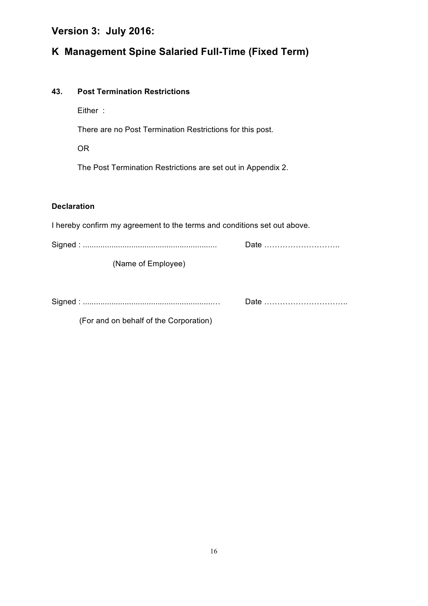# **K Management Spine Salaried Full-Time (Fixed Term)**

#### **43. Post Termination Restrictions**

Either :

There are no Post Termination Restrictions for this post.

OR

The Post Termination Restrictions are set out in Appendix 2.

#### **Declaration**

I hereby confirm my agreement to the terms and conditions set out above. Signed : ............................................................. Date ……………………….. (Name of Employee) Signed : ...........................................................… Date …………………………..

(For and on behalf of the Corporation)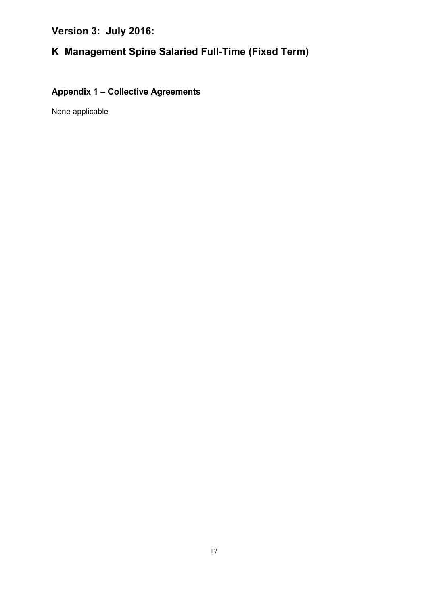# **K Management Spine Salaried Full-Time (Fixed Term)**

# **Appendix 1 – Collective Agreements**

None applicable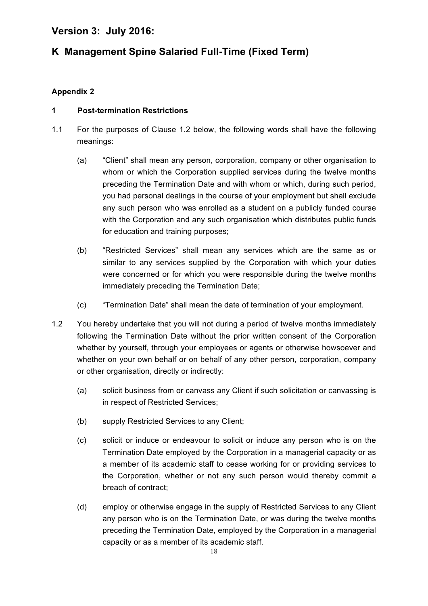# **K Management Spine Salaried Full-Time (Fixed Term)**

### **Appendix 2**

#### **1 Post-termination Restrictions**

- 1.1 For the purposes of Clause 1.2 below, the following words shall have the following meanings:
	- (a) "Client" shall mean any person, corporation, company or other organisation to whom or which the Corporation supplied services during the twelve months preceding the Termination Date and with whom or which, during such period, you had personal dealings in the course of your employment but shall exclude any such person who was enrolled as a student on a publicly funded course with the Corporation and any such organisation which distributes public funds for education and training purposes;
	- (b) "Restricted Services" shall mean any services which are the same as or similar to any services supplied by the Corporation with which your duties were concerned or for which you were responsible during the twelve months immediately preceding the Termination Date;
	- (c) "Termination Date" shall mean the date of termination of your employment.
- 1.2 You hereby undertake that you will not during a period of twelve months immediately following the Termination Date without the prior written consent of the Corporation whether by yourself, through your employees or agents or otherwise howsoever and whether on your own behalf or on behalf of any other person, corporation, company or other organisation, directly or indirectly:
	- (a) solicit business from or canvass any Client if such solicitation or canvassing is in respect of Restricted Services;
	- (b) supply Restricted Services to any Client;
	- (c) solicit or induce or endeavour to solicit or induce any person who is on the Termination Date employed by the Corporation in a managerial capacity or as a member of its academic staff to cease working for or providing services to the Corporation, whether or not any such person would thereby commit a breach of contract;
	- (d) employ or otherwise engage in the supply of Restricted Services to any Client any person who is on the Termination Date, or was during the twelve months preceding the Termination Date, employed by the Corporation in a managerial capacity or as a member of its academic staff.